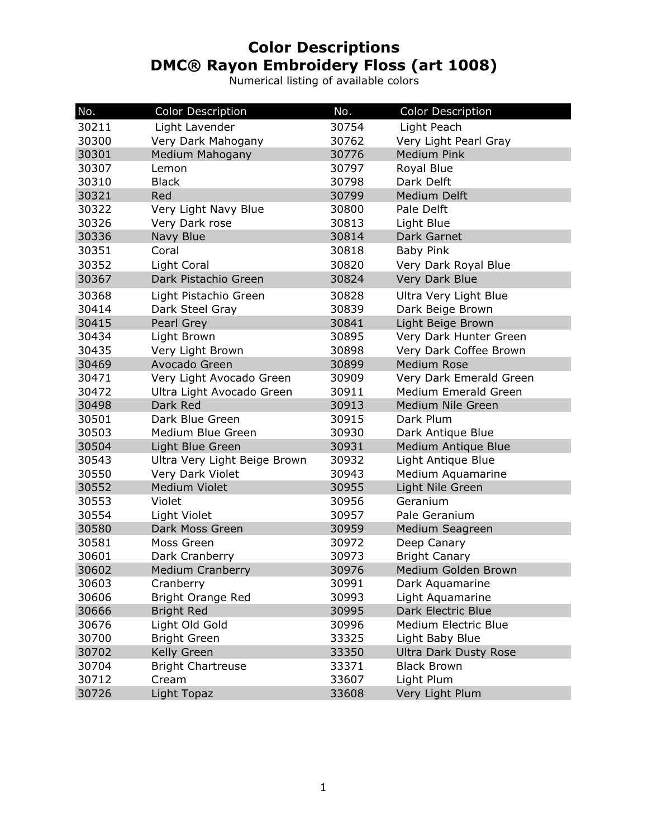## **Color Descriptions DMC® Rayon Embroidery Floss (art 1008)**

Numerical listing of available colors

| No.   | <b>Color Description</b>     | No.   | <b>Color Description</b>     |
|-------|------------------------------|-------|------------------------------|
| 30211 | Light Lavender               | 30754 | Light Peach                  |
| 30300 | Very Dark Mahogany           | 30762 | Very Light Pearl Gray        |
| 30301 | <b>Medium Mahogany</b>       | 30776 | <b>Medium Pink</b>           |
| 30307 | Lemon                        | 30797 | Royal Blue                   |
| 30310 | <b>Black</b>                 | 30798 | Dark Delft                   |
| 30321 | Red                          | 30799 | <b>Medium Delft</b>          |
| 30322 | Very Light Navy Blue         | 30800 | Pale Delft                   |
| 30326 | Very Dark rose               | 30813 | Light Blue                   |
| 30336 | Navy Blue                    | 30814 | <b>Dark Garnet</b>           |
| 30351 | Coral                        | 30818 | <b>Baby Pink</b>             |
| 30352 | Light Coral                  | 30820 | Very Dark Royal Blue         |
| 30367 | Dark Pistachio Green         | 30824 | Very Dark Blue               |
| 30368 | Light Pistachio Green        | 30828 | Ultra Very Light Blue        |
| 30414 | Dark Steel Gray              | 30839 | Dark Beige Brown             |
| 30415 | Pearl Grey                   | 30841 | Light Beige Brown            |
| 30434 | Light Brown                  | 30895 | Very Dark Hunter Green       |
| 30435 | Very Light Brown             | 30898 | Very Dark Coffee Brown       |
| 30469 | Avocado Green                | 30899 | <b>Medium Rose</b>           |
| 30471 | Very Light Avocado Green     | 30909 | Very Dark Emerald Green      |
| 30472 | Ultra Light Avocado Green    | 30911 | Medium Emerald Green         |
| 30498 | Dark Red                     | 30913 | Medium Nile Green            |
| 30501 | Dark Blue Green              | 30915 | Dark Plum                    |
| 30503 | Medium Blue Green            | 30930 | Dark Antique Blue            |
| 30504 | Light Blue Green             | 30931 | Medium Antique Blue          |
| 30543 | Ultra Very Light Beige Brown | 30932 | Light Antique Blue           |
| 30550 | Very Dark Violet             | 30943 | Medium Aquamarine            |
| 30552 | Medium Violet                | 30955 | Light Nile Green             |
| 30553 | Violet                       | 30956 | Geranium                     |
| 30554 | Light Violet                 | 30957 | Pale Geranium                |
| 30580 | Dark Moss Green              | 30959 | Medium Seagreen              |
| 30581 | Moss Green                   | 30972 | Deep Canary                  |
| 30601 | Dark Cranberry               | 30973 | <b>Bright Canary</b>         |
| 30602 | <b>Medium Cranberry</b>      | 30976 | Medium Golden Brown          |
| 30603 | Cranberry                    | 30991 | Dark Aquamarine              |
| 30606 | <b>Bright Orange Red</b>     | 30993 | Light Aquamarine             |
| 30666 | <b>Bright Red</b>            | 30995 | Dark Electric Blue           |
| 30676 | Light Old Gold               | 30996 | Medium Electric Blue         |
| 30700 | <b>Bright Green</b>          | 33325 | Light Baby Blue              |
| 30702 | Kelly Green                  | 33350 | <b>Ultra Dark Dusty Rose</b> |
| 30704 | <b>Bright Chartreuse</b>     | 33371 | <b>Black Brown</b>           |
| 30712 | Cream                        | 33607 | Light Plum                   |
| 30726 | Light Topaz                  | 33608 | Very Light Plum              |